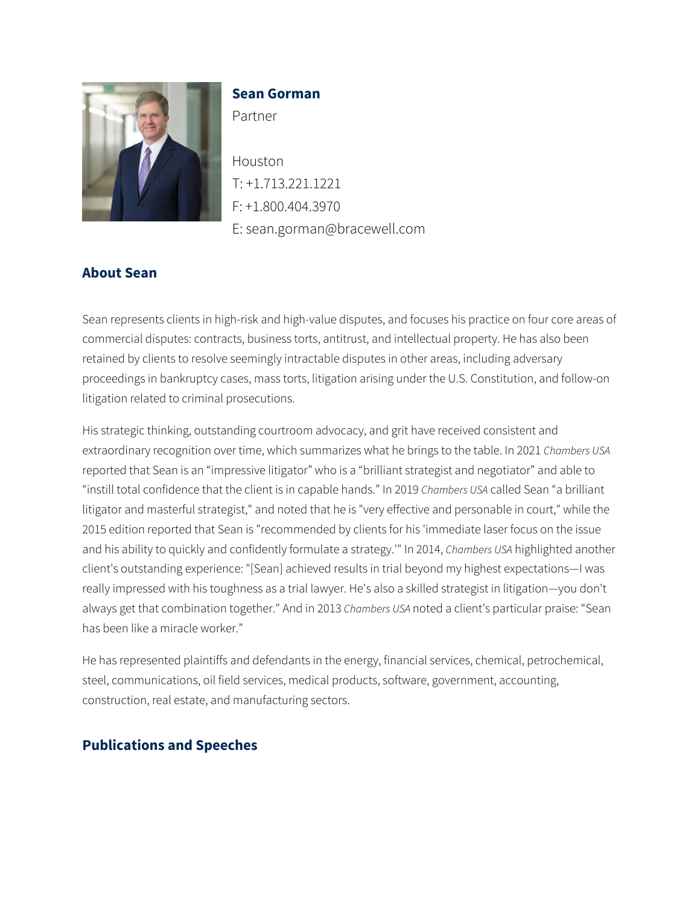

### **Sean Gorman**

Partner

Houston T: +1.713.221.1221 F: +1.800.404.3970 E: sean.gorman@bracewell.com

# **About Sean**

Sean represents clients in high-risk and high-value disputes, and focuses his practice on four core areas of commercial disputes: contracts, business torts, antitrust, and intellectual property. He has also been retained by clients to resolve seemingly intractable disputes in other areas, including adversary proceedings in bankruptcy cases, mass torts, litigation arising under the U.S. Constitution, and follow-on litigation related to criminal prosecutions.

His strategic thinking, outstanding courtroom advocacy, and grit have received consistent and extraordinary recognition over time, which summarizes what he brings to the table. In 2021 *Chambers USA* reported that Sean is an "impressive litigator" who is a "brilliant strategist and negotiator" and able to "instill total confidence that the client is in capable hands." In 2019 *Chambers USA* called Sean "a brilliant litigator and masterful strategist," and noted that he is "very effective and personable in court," while the 2015 edition reported that Sean is "recommended by clients for his 'immediate laser focus on the issue and his ability to quickly and confidently formulate a strategy.'" In 2014, *Chambers USA* highlighted another client's outstanding experience: "[Sean] achieved results in trial beyond my highest expectations—I was really impressed with his toughness as a trial lawyer. He's also a skilled strategist in litigation—you don't always get that combination together." And in 2013 *Chambers USA* noted a client's particular praise: "Sean has been like a miracle worker."

He has represented plaintiffs and defendants in the energy, financial services, chemical, petrochemical, steel, communications, oil field services, medical products, software, government, accounting, construction, real estate, and manufacturing sectors.

# **Publications and Speeches**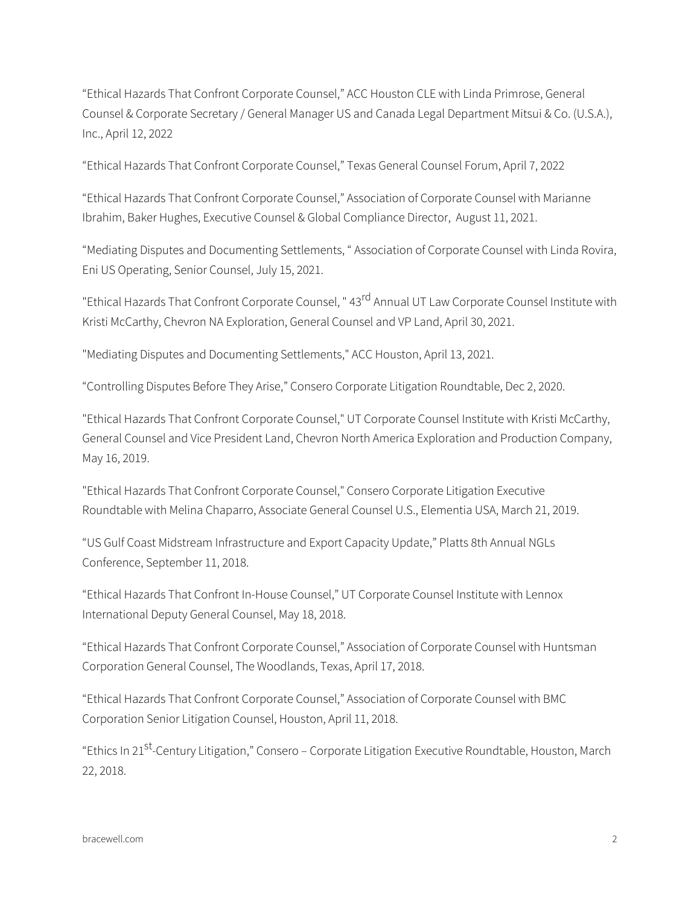"Ethical Hazards That Confront Corporate Counsel," ACC Houston CLE with Linda Primrose, General Counsel & Corporate Secretary / General Manager US and Canada Legal Department Mitsui & Co. (U.S.A.), Inc., April 12, 2022

"Ethical Hazards That Confront Corporate Counsel," Texas General Counsel Forum, April 7, 2022

"Ethical Hazards That Confront Corporate Counsel," Association of Corporate Counsel with Marianne Ibrahim, Baker Hughes, Executive Counsel & Global Compliance Director, August 11, 2021.

"Mediating Disputes and Documenting Settlements, " Association of Corporate Counsel with Linda Rovira, Eni US Operating, Senior Counsel, July 15, 2021.

"Ethical Hazards That Confront Corporate Counsel, " 43rd Annual UT Law Corporate Counsel Institute with Kristi McCarthy, Chevron NA Exploration, General Counsel and VP Land, April 30, 2021.

"Mediating Disputes and Documenting Settlements," ACC Houston, April 13, 2021.

"Controlling Disputes Before They Arise," Consero Corporate Litigation Roundtable, Dec 2, 2020.

"Ethical Hazards That Confront Corporate Counsel," UT Corporate Counsel Institute with Kristi McCarthy, General Counsel and Vice President Land, Chevron North America Exploration and Production Company, May 16, 2019.

"Ethical Hazards That Confront Corporate Counsel," Consero Corporate Litigation Executive Roundtable with Melina Chaparro, Associate General Counsel U.S., Elementia USA, March 21, 2019.

"US Gulf Coast Midstream Infrastructure and Export Capacity Update," Platts 8th Annual NGLs Conference, September 11, 2018.

"Ethical Hazards That Confront In-House Counsel," UT Corporate Counsel Institute with Lennox International Deputy General Counsel, May 18, 2018.

"Ethical Hazards That Confront Corporate Counsel," Association of Corporate Counsel with Huntsman Corporation General Counsel, The Woodlands, Texas, April 17, 2018.

"Ethical Hazards That Confront Corporate Counsel," Association of Corporate Counsel with BMC Corporation Senior Litigation Counsel, Houston, April 11, 2018.

"Ethics In 21<sup>st</sup>-Century Litigation," Consero – Corporate Litigation Executive Roundtable, Houston, March 22, 2018.